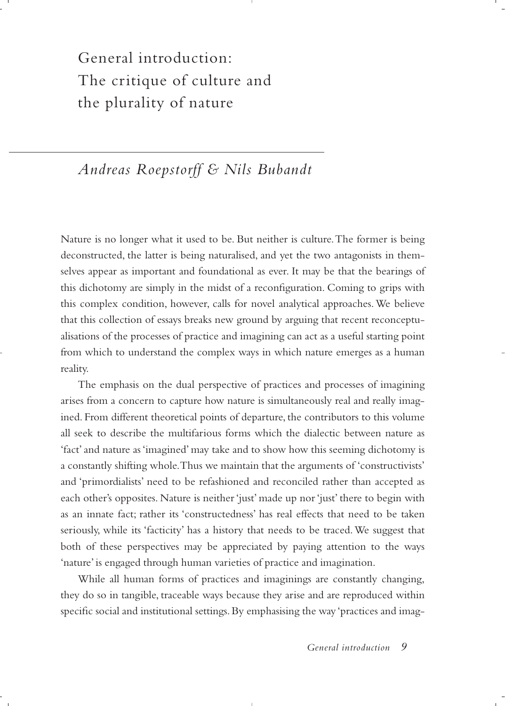General introduction: The critique of culture and the plurality of nature

# *Andreas Roepstorff & Nils Bubandt*

Nature is no longer what it used to be. But neither is culture.The former is being deconstructed, the latter is being naturalised, and yet the two antagonists in themselves appear as important and foundational as ever. It may be that the bearings of this dichotomy are simply in the midst of a reconfiguration. Coming to grips with this complex condition, however, calls for novel analytical approaches. We believe that this collection of essays breaks new ground by arguing that recent reconceptualisations of the processes of practice and imagining can act as a useful starting point from which to understand the complex ways in which nature emerges as a human reality.

The emphasis on the dual perspective of practices and processes of imagining arises from a concern to capture how nature is simultaneously real and really imagined. From different theoretical points of departure, the contributors to this volume all seek to describe the multifarious forms which the dialectic between nature as 'fact' and nature as 'imagined' may take and to show how this seeming dichotomy is a constantly shifting whole.Thus we maintain that the arguments of 'constructivists' and 'primordialists' need to be refashioned and reconciled rather than accepted as each other's opposites. Nature is neither 'just' made up nor 'just' there to begin with as an innate fact; rather its 'constructedness' has real effects that need to be taken seriously, while its 'facticity' has a history that needs to be traced.We suggest that both of these perspectives may be appreciated by paying attention to the ways 'nature' is engaged through human varieties of practice and imagination.

While all human forms of practices and imaginings are constantly changing, they do so in tangible, traceable ways because they arise and are reproduced within specific social and institutional settings. By emphasising the way 'practices and imag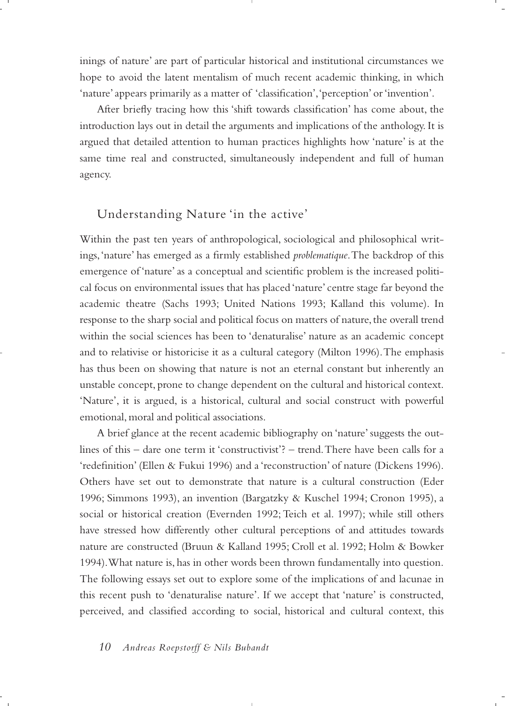inings of nature' are part of particular historical and institutional circumstances we hope to avoid the latent mentalism of much recent academic thinking, in which 'nature' appears primarily as a matter of 'classification','perception' or 'invention'.

After briefly tracing how this 'shift towards classification' has come about, the introduction lays out in detail the arguments and implications of the anthology. It is argued that detailed attention to human practices highlights how 'nature' is at the same time real and constructed, simultaneously independent and full of human agency.

## Understanding Nature 'in the active'

Within the past ten years of anthropological, sociological and philosophical writings,'nature' has emerged as a firmly established *problematique*.The backdrop of this emergence of 'nature' as a conceptual and scientific problem is the increased political focus on environmental issues that has placed 'nature' centre stage far beyond the academic theatre (Sachs 1993; United Nations 1993; Kalland this volume). In response to the sharp social and political focus on matters of nature, the overall trend within the social sciences has been to 'denaturalise' nature as an academic concept and to relativise or historicise it as a cultural category (Milton 1996).The emphasis has thus been on showing that nature is not an eternal constant but inherently an unstable concept, prone to change dependent on the cultural and historical context. 'Nature', it is argued, is a historical, cultural and social construct with powerful emotional, moral and political associations.

A brief glance at the recent academic bibliography on 'nature' suggests the outlines of this – dare one term it 'constructivist'? – trend.There have been calls for a 'redefinition' (Ellen & Fukui 1996) and a 'reconstruction' of nature (Dickens 1996). Others have set out to demonstrate that nature is a cultural construction (Eder 1996; Simmons 1993), an invention (Bargatzky & Kuschel 1994; Cronon 1995), a social or historical creation (Evernden 1992; Teich et al. 1997); while still others have stressed how differently other cultural perceptions of and attitudes towards nature are constructed (Bruun & Kalland 1995; Croll et al. 1992; Holm & Bowker 1994).What nature is, has in other words been thrown fundamentally into question. The following essays set out to explore some of the implications of and lacunae in this recent push to 'denaturalise nature'. If we accept that 'nature' is constructed, perceived, and classified according to social, historical and cultural context, this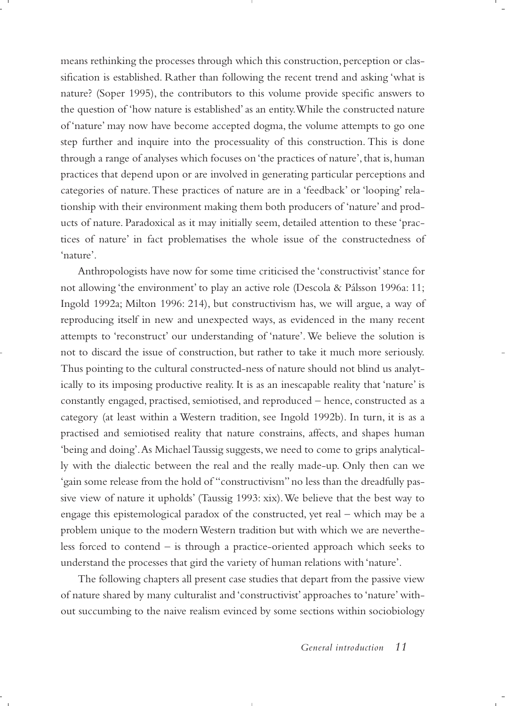means rethinking the processes through which this construction, perception or classification is established. Rather than following the recent trend and asking 'what is nature? (Soper 1995), the contributors to this volume provide specific answers to the question of 'how nature is established' as an entity.While the constructed nature of 'nature' may now have become accepted dogma, the volume attempts to go one step further and inquire into the processuality of this construction. This is done through a range of analyses which focuses on 'the practices of nature', that is, human practices that depend upon or are involved in generating particular perceptions and categories of nature.These practices of nature are in a 'feedback' or 'looping' relationship with their environment making them both producers of 'nature' and products of nature. Paradoxical as it may initially seem, detailed attention to these 'practices of nature' in fact problematises the whole issue of the constructedness of 'nature'.

Anthropologists have now for some time criticised the 'constructivist' stance for not allowing 'the environment' to play an active role (Descola & Pálsson 1996a: 11; Ingold 1992a; Milton 1996: 214), but constructivism has, we will argue, a way of reproducing itself in new and unexpected ways, as evidenced in the many recent attempts to 'reconstruct' our understanding of 'nature'. We believe the solution is not to discard the issue of construction, but rather to take it much more seriously. Thus pointing to the cultural constructed-ness of nature should not blind us analytically to its imposing productive reality. It is as an inescapable reality that 'nature' is constantly engaged, practised, semiotised, and reproduced – hence, constructed as a category (at least within a Western tradition, see Ingold 1992b). In turn, it is as a practised and semiotised reality that nature constrains, affects, and shapes human 'being and doing'.As Michael Taussig suggests, we need to come to grips analytically with the dialectic between the real and the really made-up. Only then can we 'gain some release from the hold of "constructivism" no less than the dreadfully passive view of nature it upholds' (Taussig 1993: xix).We believe that the best way to engage this epistemological paradox of the constructed, yet real – which may be a problem unique to the modern Western tradition but with which we are nevertheless forced to contend – is through a practice-oriented approach which seeks to understand the processes that gird the variety of human relations with 'nature'.

The following chapters all present case studies that depart from the passive view of nature shared by many culturalist and 'constructivist' approaches to 'nature' without succumbing to the naive realism evinced by some sections within sociobiology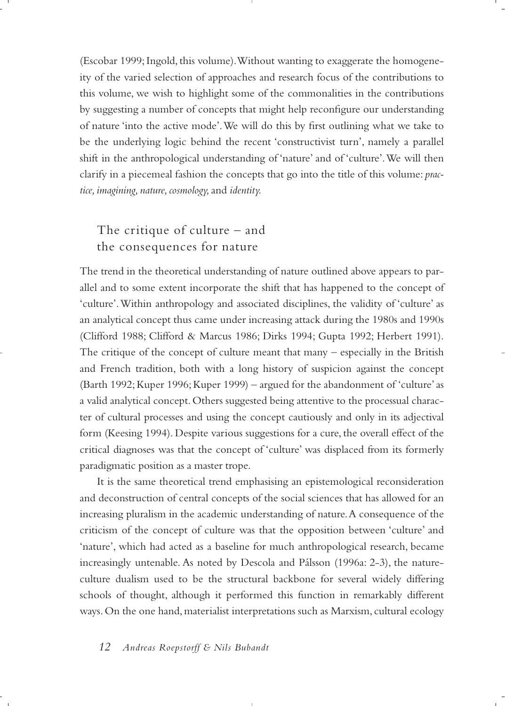(Escobar 1999; Ingold, this volume).Without wanting to exaggerate the homogeneity of the varied selection of approaches and research focus of the contributions to this volume, we wish to highlight some of the commonalities in the contributions by suggesting a number of concepts that might help reconfigure our understanding of nature 'into the active mode'.We will do this by first outlining what we take to be the underlying logic behind the recent 'constructivist turn', namely a parallel shift in the anthropological understanding of 'nature' and of 'culture'.We will then clarify in a piecemeal fashion the concepts that go into the title of this volume: *practice, imagining, nature, cosmology,*and *identity.*

# The critique of culture – and the consequences for nature

The trend in the theoretical understanding of nature outlined above appears to parallel and to some extent incorporate the shift that has happened to the concept of 'culture'.Within anthropology and associated disciplines, the validity of 'culture' as an analytical concept thus came under increasing attack during the 1980s and 1990s (Clifford 1988; Clifford & Marcus 1986; Dirks 1994; Gupta 1992; Herbert 1991). The critique of the concept of culture meant that many – especially in the British and French tradition, both with a long history of suspicion against the concept (Barth 1992; Kuper 1996; Kuper 1999) – argued for the abandonment of 'culture' as a valid analytical concept. Others suggested being attentive to the processual character of cultural processes and using the concept cautiously and only in its adjectival form (Keesing 1994). Despite various suggestions for a cure, the overall effect of the critical diagnoses was that the concept of 'culture' was displaced from its formerly paradigmatic position as a master trope.

It is the same theoretical trend emphasising an epistemological reconsideration and deconstruction of central concepts of the social sciences that has allowed for an increasing pluralism in the academic understanding of nature.A consequence of the criticism of the concept of culture was that the opposition between 'culture' and 'nature', which had acted as a baseline for much anthropological research, became increasingly untenable. As noted by Descola and Pálsson (1996a: 2-3), the natureculture dualism used to be the structural backbone for several widely differing schools of thought, although it performed this function in remarkably different ways. On the one hand, materialist interpretations such as Marxism, cultural ecology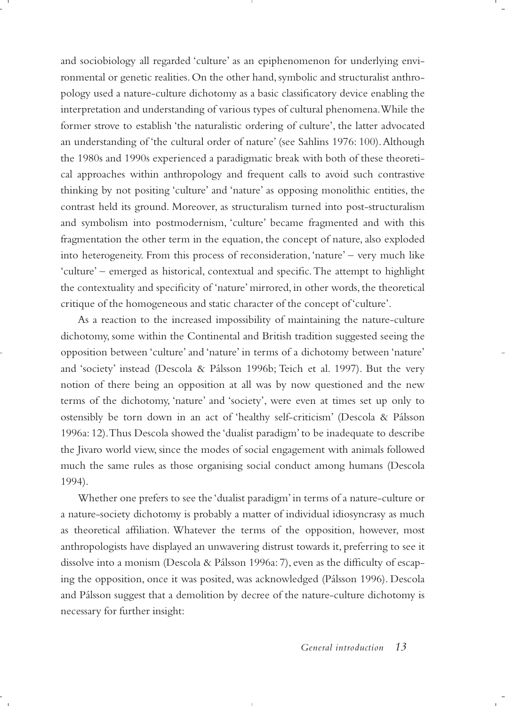and sociobiology all regarded 'culture' as an epiphenomenon for underlying environmental or genetic realities. On the other hand, symbolic and structuralist anthropology used a nature-culture dichotomy as a basic classificatory device enabling the interpretation and understanding of various types of cultural phenomena.While the former strove to establish 'the naturalistic ordering of culture', the latter advocated an understanding of 'the cultural order of nature' (see Sahlins 1976: 100).Although the 1980s and 1990s experienced a paradigmatic break with both of these theoretical approaches within anthropology and frequent calls to avoid such contrastive thinking by not positing 'culture' and 'nature' as opposing monolithic entities, the contrast held its ground. Moreover, as structuralism turned into post-structuralism and symbolism into postmodernism, 'culture' became fragmented and with this fragmentation the other term in the equation, the concept of nature, also exploded into heterogeneity. From this process of reconsideration, 'nature' – very much like 'culture' – emerged as historical, contextual and specific.The attempt to highlight the contextuality and specificity of 'nature' mirrored, in other words, the theoretical critique of the homogeneous and static character of the concept of 'culture'.

As a reaction to the increased impossibility of maintaining the nature-culture dichotomy, some within the Continental and British tradition suggested seeing the opposition between 'culture' and 'nature' in terms of a dichotomy between 'nature' and 'society' instead (Descola & Pálsson 1996b; Teich et al. 1997). But the very notion of there being an opposition at all was by now questioned and the new terms of the dichotomy, 'nature' and 'society', were even at times set up only to ostensibly be torn down in an act of 'healthy self-criticism' (Descola & Pálsson 1996a: 12).Thus Descola showed the 'dualist paradigm' to be inadequate to describe the Jivaro world view, since the modes of social engagement with animals followed much the same rules as those organising social conduct among humans (Descola 1994).

Whether one prefers to see the 'dualist paradigm' in terms of a nature-culture or a nature-society dichotomy is probably a matter of individual idiosyncrasy as much as theoretical affiliation. Whatever the terms of the opposition, however, most anthropologists have displayed an unwavering distrust towards it, preferring to see it dissolve into a monism (Descola & Pálsson 1996a: 7), even as the difficulty of escaping the opposition, once it was posited, was acknowledged (Pálsson 1996). Descola and Pálsson suggest that a demolition by decree of the nature-culture dichotomy is necessary for further insight: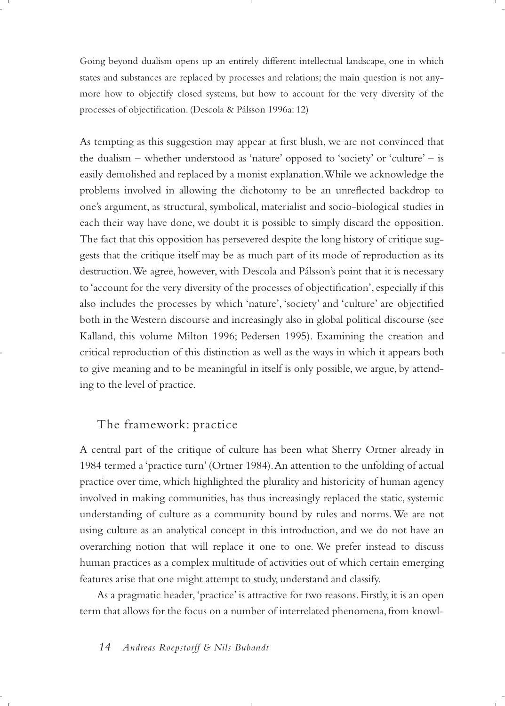Going beyond dualism opens up an entirely different intellectual landscape, one in which states and substances are replaced by processes and relations; the main question is not anymore how to objectify closed systems, but how to account for the very diversity of the processes of objectification. (Descola & Pálsson 1996a: 12)

As tempting as this suggestion may appear at first blush, we are not convinced that the dualism – whether understood as 'nature' opposed to 'society' or 'culture' – is easily demolished and replaced by a monist explanation.While we acknowledge the problems involved in allowing the dichotomy to be an unreflected backdrop to one's argument, as structural, symbolical, materialist and socio-biological studies in each their way have done, we doubt it is possible to simply discard the opposition. The fact that this opposition has persevered despite the long history of critique suggests that the critique itself may be as much part of its mode of reproduction as its destruction.We agree, however, with Descola and Pálsson's point that it is necessary to 'account for the very diversity of the processes of objectification', especially if this also includes the processes by which 'nature', 'society' and 'culture' are objectified both in the Western discourse and increasingly also in global political discourse (see Kalland, this volume Milton 1996; Pedersen 1995). Examining the creation and critical reproduction of this distinction as well as the ways in which it appears both to give meaning and to be meaningful in itself is only possible, we argue, by attending to the level of practice.

### The framework: practice

A central part of the critique of culture has been what Sherry Ortner already in 1984 termed a 'practice turn' (Ortner 1984).An attention to the unfolding of actual practice over time, which highlighted the plurality and historicity of human agency involved in making communities, has thus increasingly replaced the static, systemic understanding of culture as a community bound by rules and norms. We are not using culture as an analytical concept in this introduction, and we do not have an overarching notion that will replace it one to one. We prefer instead to discuss human practices as a complex multitude of activities out of which certain emerging features arise that one might attempt to study, understand and classify.

As a pragmatic header, 'practice' is attractive for two reasons. Firstly, it is an open term that allows for the focus on a number of interrelated phenomena, from knowl-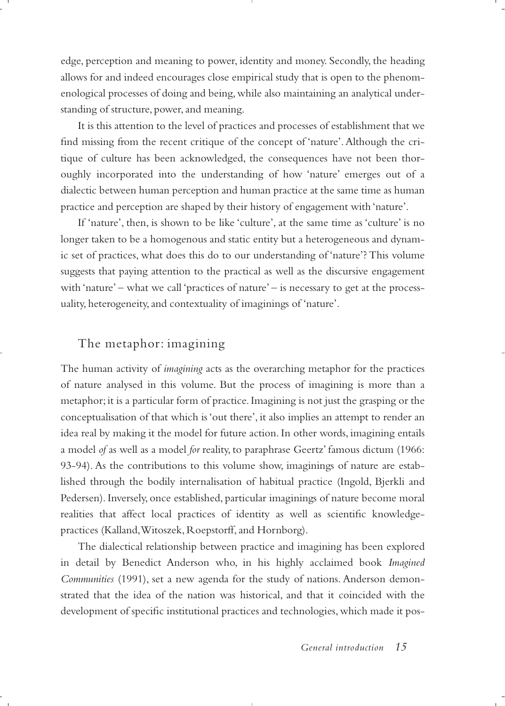edge, perception and meaning to power, identity and money. Secondly, the heading allows for and indeed encourages close empirical study that is open to the phenomenological processes of doing and being, while also maintaining an analytical understanding of structure, power, and meaning.

It is this attention to the level of practices and processes of establishment that we find missing from the recent critique of the concept of 'nature'. Although the critique of culture has been acknowledged, the consequences have not been thoroughly incorporated into the understanding of how 'nature' emerges out of a dialectic between human perception and human practice at the same time as human practice and perception are shaped by their history of engagement with 'nature'.

If 'nature', then, is shown to be like 'culture', at the same time as 'culture' is no longer taken to be a homogenous and static entity but a heterogeneous and dynamic set of practices, what does this do to our understanding of 'nature'? This volume suggests that paying attention to the practical as well as the discursive engagement with 'nature' – what we call 'practices of nature' – is necessary to get at the processuality, heterogeneity, and contextuality of imaginings of 'nature'.

## The metaphor: imagining

The human activity of *imagining* acts as the overarching metaphor for the practices of nature analysed in this volume. But the process of imagining is more than a metaphor; it is a particular form of practice. Imagining is not just the grasping or the conceptualisation of that which is 'out there', it also implies an attempt to render an idea real by making it the model for future action. In other words, imagining entails a model *of* as well as a model *for* reality, to paraphrase Geertz' famous dictum (1966: 93-94). As the contributions to this volume show, imaginings of nature are established through the bodily internalisation of habitual practice (Ingold, Bjerkli and Pedersen). Inversely, once established, particular imaginings of nature become moral realities that affect local practices of identity as well as scientific knowledgepractices (Kalland,Witoszek, Roepstorff, and Hornborg).

The dialectical relationship between practice and imagining has been explored in detail by Benedict Anderson who, in his highly acclaimed book *Imagined Communities* (1991), set a new agenda for the study of nations. Anderson demonstrated that the idea of the nation was historical, and that it coincided with the development of specific institutional practices and technologies, which made it pos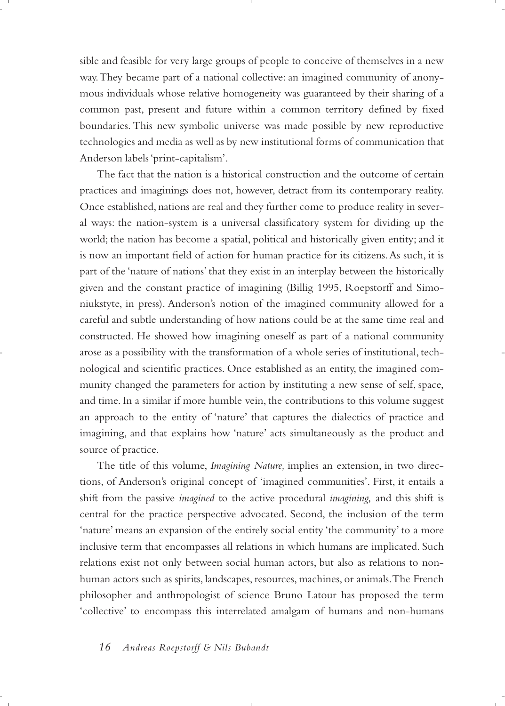sible and feasible for very large groups of people to conceive of themselves in a new way.They became part of a national collective: an imagined community of anonymous individuals whose relative homogeneity was guaranteed by their sharing of a common past, present and future within a common territory defined by fixed boundaries. This new symbolic universe was made possible by new reproductive technologies and media as well as by new institutional forms of communication that Anderson labels 'print-capitalism'.

The fact that the nation is a historical construction and the outcome of certain practices and imaginings does not, however, detract from its contemporary reality. Once established, nations are real and they further come to produce reality in several ways: the nation-system is a universal classificatory system for dividing up the world; the nation has become a spatial, political and historically given entity; and it is now an important field of action for human practice for its citizens.As such, it is part of the 'nature of nations' that they exist in an interplay between the historically given and the constant practice of imagining (Billig 1995, Roepstorff and Simoniukstyte, in press). Anderson's notion of the imagined community allowed for a careful and subtle understanding of how nations could be at the same time real and constructed. He showed how imagining oneself as part of a national community arose as a possibility with the transformation of a whole series of institutional, technological and scientific practices. Once established as an entity, the imagined community changed the parameters for action by instituting a new sense of self, space, and time. In a similar if more humble vein, the contributions to this volume suggest an approach to the entity of 'nature' that captures the dialectics of practice and imagining, and that explains how 'nature' acts simultaneously as the product and source of practice.

The title of this volume, *Imagining Nature,* implies an extension, in two directions, of Anderson's original concept of 'imagined communities'. First, it entails a shift from the passive *imagined* to the active procedural *imagining,* and this shift is central for the practice perspective advocated. Second, the inclusion of the term 'nature' means an expansion of the entirely social entity 'the community' to a more inclusive term that encompasses all relations in which humans are implicated. Such relations exist not only between social human actors, but also as relations to nonhuman actors such as spirits, landscapes, resources, machines, or animals.The French philosopher and anthropologist of science Bruno Latour has proposed the term 'collective' to encompass this interrelated amalgam of humans and non-humans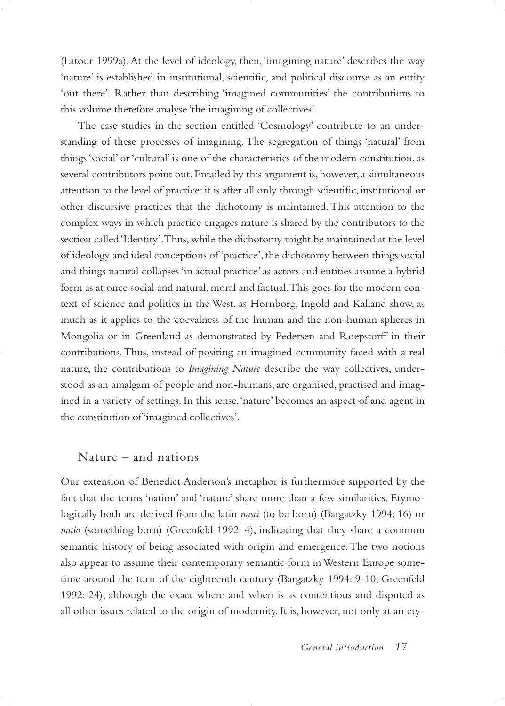(Latour 1999a).At the level of ideology, then,'imagining nature' describes the way 'nature' is established in institutional, scientific, and political discourse as an entity 'out there'. Rather than describing 'imagined communities' the contributions to this volume therefore analyse 'the imagining of collectives'.

The case studies in the section entitled 'Cosmology' contribute to an understanding of these processes of imagining. The segregation of things 'natural' from things 'social' or 'cultural' is one of the characteristics of the modern constitution, as several contributors point out. Entailed by this argument is, however, a simultaneous attention to the level of practice: it is after all only through scientific, institutional or other discursive practices that the dichotomy is maintained. This attention to the complex ways in which practice engages nature is shared by the contributors to the section called 'Identity'.Thus, while the dichotomy might be maintained at the level of ideology and ideal conceptions of 'practice', the dichotomy between things social and things natural collapses 'in actual practice' as actors and entities assume a hybrid form as at once social and natural, moral and factual.This goes for the modern context of science and politics in the West, as Hornborg, Ingold and Kalland show, as much as it applies to the coevalness of the human and the non-human spheres in Mongolia or in Greenland as demonstrated by Pedersen and Roepstorff in their contributions.Thus, instead of positing an imagined community faced with a real nature, the contributions to *Imagining Nature* describe the way collectives, understood as an amalgam of people and non-humans, are organised, practised and imagined in a variety of settings. In this sense,'nature' becomes an aspect of and agent in the constitution of 'imagined collectives'.

# Nature – and nations

Our extension of Benedict Anderson's metaphor is furthermore supported by the fact that the terms 'nation' and 'nature' share more than a few similarities. Etymologically both are derived from the latin *nasci* (to be born) (Bargatzky 1994: 16) or *natio* (something born) (Greenfeld 1992: 4), indicating that they share a common semantic history of being associated with origin and emergence.The two notions also appear to assume their contemporary semantic form in Western Europe sometime around the turn of the eighteenth century (Bargatzky 1994: 9-10; Greenfeld 1992: 24), although the exact where and when is as contentious and disputed as all other issues related to the origin of modernity. It is, however, not only at an ety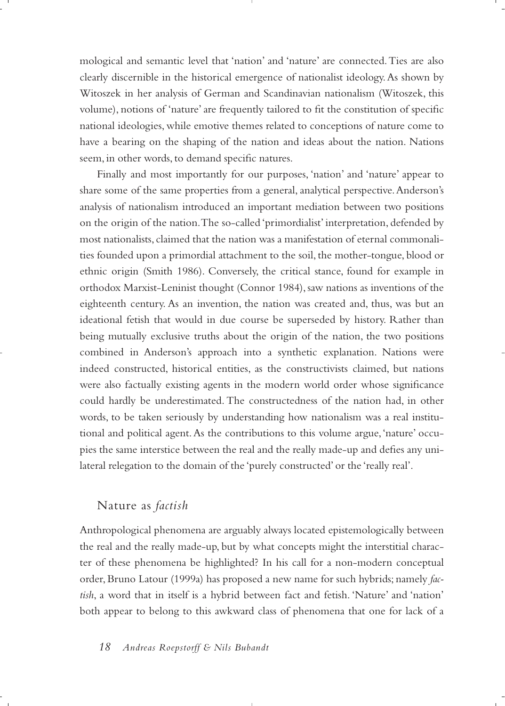mological and semantic level that 'nation' and 'nature' are connected.Ties are also clearly discernible in the historical emergence of nationalist ideology.As shown by Witoszek in her analysis of German and Scandinavian nationalism (Witoszek, this volume), notions of 'nature' are frequently tailored to fit the constitution of specific national ideologies, while emotive themes related to conceptions of nature come to have a bearing on the shaping of the nation and ideas about the nation. Nations seem, in other words, to demand specific natures.

Finally and most importantly for our purposes, 'nation' and 'nature' appear to share some of the same properties from a general, analytical perspective.Anderson's analysis of nationalism introduced an important mediation between two positions on the origin of the nation.The so-called 'primordialist' interpretation, defended by most nationalists, claimed that the nation was a manifestation of eternal commonalities founded upon a primordial attachment to the soil, the mother-tongue, blood or ethnic origin (Smith 1986). Conversely, the critical stance, found for example in orthodox Marxist-Leninist thought (Connor 1984), saw nations as inventions of the eighteenth century. As an invention, the nation was created and, thus, was but an ideational fetish that would in due course be superseded by history. Rather than being mutually exclusive truths about the origin of the nation, the two positions combined in Anderson's approach into a synthetic explanation. Nations were indeed constructed, historical entities, as the constructivists claimed, but nations were also factually existing agents in the modern world order whose significance could hardly be underestimated. The constructedness of the nation had, in other words, to be taken seriously by understanding how nationalism was a real institutional and political agent.As the contributions to this volume argue,'nature' occupies the same interstice between the real and the really made-up and defies any unilateral relegation to the domain of the 'purely constructed' or the 'really real'.

# Nature as *factish*

Anthropological phenomena are arguably always located epistemologically between the real and the really made-up, but by what concepts might the interstitial character of these phenomena be highlighted? In his call for a non-modern conceptual order, Bruno Latour (1999a) has proposed a new name for such hybrids; namely *factish*, a word that in itself is a hybrid between fact and fetish. 'Nature' and 'nation' both appear to belong to this awkward class of phenomena that one for lack of a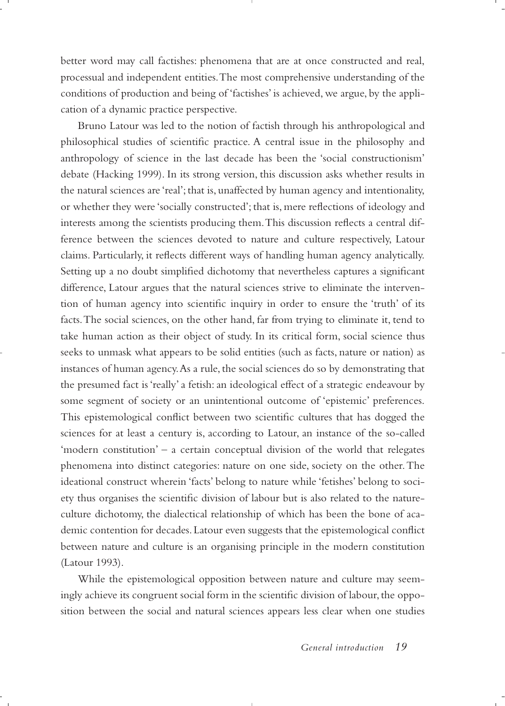better word may call factishes: phenomena that are at once constructed and real, processual and independent entities.The most comprehensive understanding of the conditions of production and being of 'factishes' is achieved, we argue, by the application of a dynamic practice perspective.

Bruno Latour was led to the notion of factish through his anthropological and philosophical studies of scientific practice. A central issue in the philosophy and anthropology of science in the last decade has been the 'social constructionism' debate (Hacking 1999). In its strong version, this discussion asks whether results in the natural sciences are 'real'; that is, unaffected by human agency and intentionality, or whether they were 'socially constructed'; that is, mere reflections of ideology and interests among the scientists producing them.This discussion reflects a central difference between the sciences devoted to nature and culture respectively, Latour claims. Particularly, it reflects different ways of handling human agency analytically. Setting up a no doubt simplified dichotomy that nevertheless captures a significant difference, Latour argues that the natural sciences strive to eliminate the intervention of human agency into scientific inquiry in order to ensure the 'truth' of its facts.The social sciences, on the other hand, far from trying to eliminate it, tend to take human action as their object of study. In its critical form, social science thus seeks to unmask what appears to be solid entities (such as facts, nature or nation) as instances of human agency.As a rule, the social sciences do so by demonstrating that the presumed fact is 'really' a fetish: an ideological effect of a strategic endeavour by some segment of society or an unintentional outcome of 'epistemic' preferences. This epistemological conflict between two scientific cultures that has dogged the sciences for at least a century is, according to Latour, an instance of the so-called 'modern constitution' – a certain conceptual division of the world that relegates phenomena into distinct categories: nature on one side, society on the other.The ideational construct wherein 'facts' belong to nature while 'fetishes' belong to society thus organises the scientific division of labour but is also related to the natureculture dichotomy, the dialectical relationship of which has been the bone of academic contention for decades.Latour even suggests that the epistemological conflict between nature and culture is an organising principle in the modern constitution (Latour 1993).

While the epistemological opposition between nature and culture may seemingly achieve its congruent social form in the scientific division of labour, the opposition between the social and natural sciences appears less clear when one studies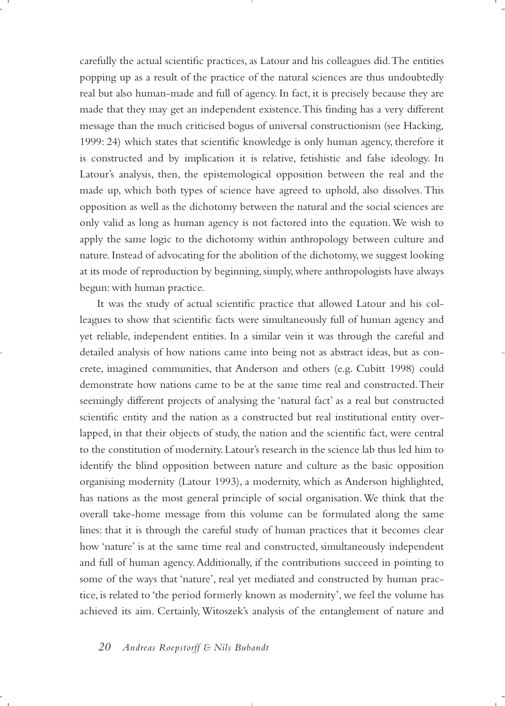carefully the actual scientific practices, as Latour and his colleagues did.The entities popping up as a result of the practice of the natural sciences are thus undoubtedly real but also human-made and full of agency. In fact, it is precisely because they are made that they may get an independent existence.This finding has a very different message than the much criticised bogus of universal constructionism (see Hacking, 1999: 24) which states that scientific knowledge is only human agency, therefore it is constructed and by implication it is relative, fetishistic and false ideology. In Latour's analysis, then, the epistemological opposition between the real and the made up, which both types of science have agreed to uphold, also dissolves. This opposition as well as the dichotomy between the natural and the social sciences are only valid as long as human agency is not factored into the equation.We wish to apply the same logic to the dichotomy within anthropology between culture and nature. Instead of advocating for the abolition of the dichotomy, we suggest looking at its mode of reproduction by beginning, simply, where anthropologists have always begun: with human practice.

It was the study of actual scientific practice that allowed Latour and his colleagues to show that scientific facts were simultaneously full of human agency and yet reliable, independent entities. In a similar vein it was through the careful and detailed analysis of how nations came into being not as abstract ideas, but as concrete, imagined communities, that Anderson and others (e.g. Cubitt 1998) could demonstrate how nations came to be at the same time real and constructed.Their seemingly different projects of analysing the 'natural fact' as a real but constructed scientific entity and the nation as a constructed but real institutional entity overlapped, in that their objects of study, the nation and the scientific fact, were central to the constitution of modernity. Latour's research in the science lab thus led him to identify the blind opposition between nature and culture as the basic opposition organising modernity (Latour 1993), a modernity, which as Anderson highlighted, has nations as the most general principle of social organisation.We think that the overall take-home message from this volume can be formulated along the same lines: that it is through the careful study of human practices that it becomes clear how 'nature' is at the same time real and constructed, simultaneously independent and full of human agency. Additionally, if the contributions succeed in pointing to some of the ways that 'nature', real yet mediated and constructed by human practice, is related to 'the period formerly known as modernity', we feel the volume has achieved its aim. Certainly, Witoszek's analysis of the entanglement of nature and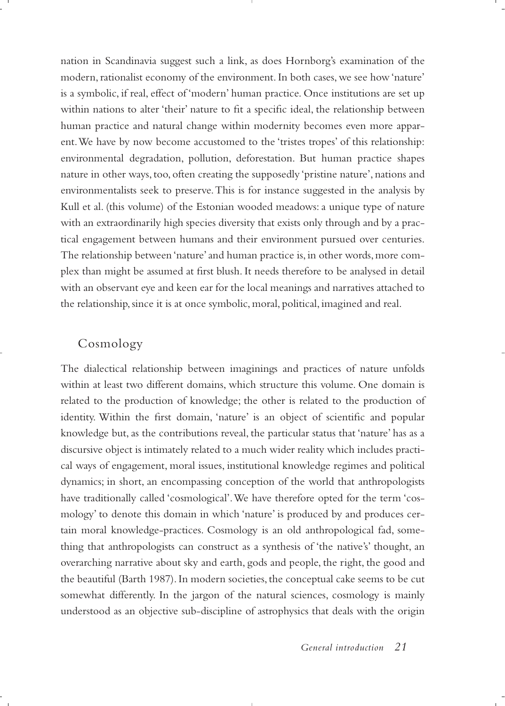nation in Scandinavia suggest such a link, as does Hornborg's examination of the modern, rationalist economy of the environment. In both cases, we see how 'nature' is a symbolic, if real, effect of 'modern' human practice. Once institutions are set up within nations to alter 'their' nature to fit a specific ideal, the relationship between human practice and natural change within modernity becomes even more apparent.We have by now become accustomed to the 'tristes tropes' of this relationship: environmental degradation, pollution, deforestation. But human practice shapes nature in other ways, too, often creating the supposedly 'pristine nature', nations and environmentalists seek to preserve.This is for instance suggested in the analysis by Kull et al. (this volume) of the Estonian wooded meadows: a unique type of nature with an extraordinarily high species diversity that exists only through and by a practical engagement between humans and their environment pursued over centuries. The relationship between 'nature' and human practice is, in other words, more complex than might be assumed at first blush. It needs therefore to be analysed in detail with an observant eye and keen ear for the local meanings and narratives attached to the relationship, since it is at once symbolic, moral, political, imagined and real.

### Cosmology

The dialectical relationship between imaginings and practices of nature unfolds within at least two different domains, which structure this volume. One domain is related to the production of knowledge; the other is related to the production of identity. Within the first domain, 'nature' is an object of scientific and popular knowledge but, as the contributions reveal, the particular status that 'nature' has as a discursive object is intimately related to a much wider reality which includes practical ways of engagement, moral issues, institutional knowledge regimes and political dynamics; in short, an encompassing conception of the world that anthropologists have traditionally called 'cosmological'.We have therefore opted for the term 'cosmology' to denote this domain in which 'nature' is produced by and produces certain moral knowledge-practices. Cosmology is an old anthropological fad, something that anthropologists can construct as a synthesis of 'the native's' thought, an overarching narrative about sky and earth, gods and people, the right, the good and the beautiful (Barth 1987). In modern societies, the conceptual cake seems to be cut somewhat differently. In the jargon of the natural sciences, cosmology is mainly understood as an objective sub-discipline of astrophysics that deals with the origin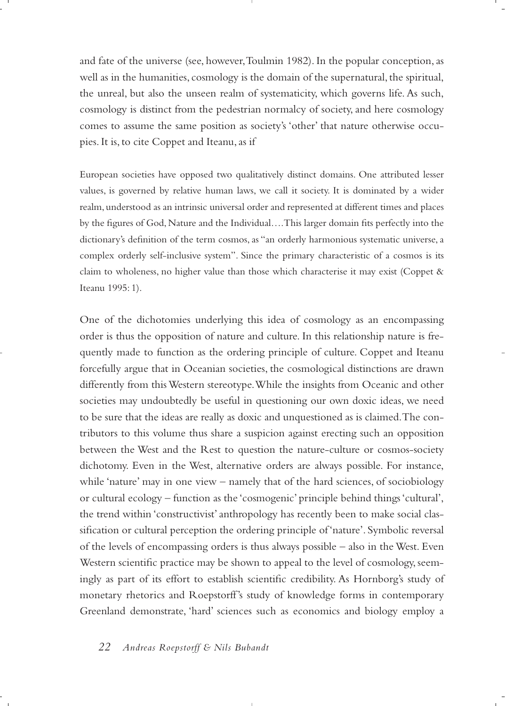and fate of the universe (see, however,Toulmin 1982). In the popular conception, as well as in the humanities, cosmology is the domain of the supernatural, the spiritual, the unreal, but also the unseen realm of systematicity, which governs life. As such, cosmology is distinct from the pedestrian normalcy of society, and here cosmology comes to assume the same position as society's 'other' that nature otherwise occupies. It is, to cite Coppet and Iteanu, as if

European societies have opposed two qualitatively distinct domains. One attributed lesser values, is governed by relative human laws, we call it society. It is dominated by a wider realm, understood as an intrinsic universal order and represented at different times and places by the figures of God, Nature and the Individual….This larger domain fits perfectly into the dictionary's definition of the term cosmos, as "an orderly harmonious systematic universe, a complex orderly self-inclusive system". Since the primary characteristic of a cosmos is its claim to wholeness, no higher value than those which characterise it may exist (Coppet & Iteanu 1995: 1).

One of the dichotomies underlying this idea of cosmology as an encompassing order is thus the opposition of nature and culture. In this relationship nature is frequently made to function as the ordering principle of culture. Coppet and Iteanu forcefully argue that in Oceanian societies, the cosmological distinctions are drawn differently from this Western stereotype.While the insights from Oceanic and other societies may undoubtedly be useful in questioning our own doxic ideas, we need to be sure that the ideas are really as doxic and unquestioned as is claimed.The contributors to this volume thus share a suspicion against erecting such an opposition between the West and the Rest to question the nature-culture or cosmos-society dichotomy. Even in the West, alternative orders are always possible. For instance, while 'nature' may in one view – namely that of the hard sciences, of sociobiology or cultural ecology – function as the 'cosmogenic' principle behind things 'cultural', the trend within 'constructivist' anthropology has recently been to make social classification or cultural perception the ordering principle of 'nature'. Symbolic reversal of the levels of encompassing orders is thus always possible – also in the West. Even Western scientific practice may be shown to appeal to the level of cosmology, seemingly as part of its effort to establish scientific credibility. As Hornborg's study of monetary rhetorics and Roepstorff's study of knowledge forms in contemporary Greenland demonstrate, 'hard' sciences such as economics and biology employ a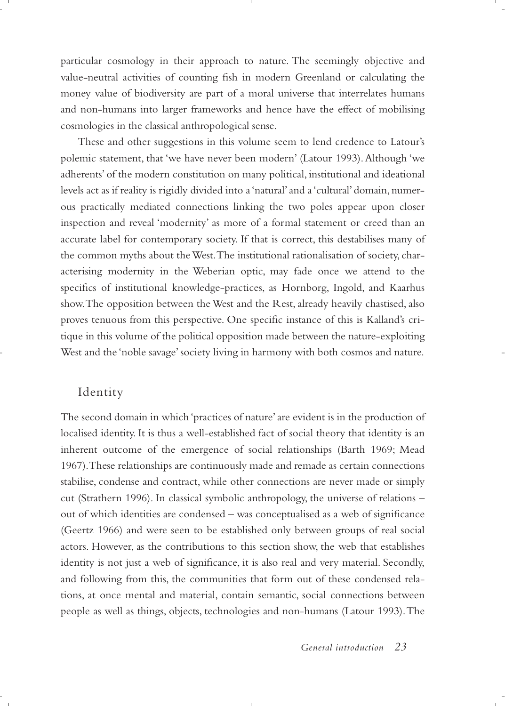particular cosmology in their approach to nature. The seemingly objective and value-neutral activities of counting fish in modern Greenland or calculating the money value of biodiversity are part of a moral universe that interrelates humans and non-humans into larger frameworks and hence have the effect of mobilising cosmologies in the classical anthropological sense.

These and other suggestions in this volume seem to lend credence to Latour's polemic statement, that 'we have never been modern' (Latour 1993).Although 'we adherents' of the modern constitution on many political, institutional and ideational levels act as if reality is rigidly divided into a 'natural' and a 'cultural' domain, numerous practically mediated connections linking the two poles appear upon closer inspection and reveal 'modernity' as more of a formal statement or creed than an accurate label for contemporary society. If that is correct, this destabilises many of the common myths about the West.The institutional rationalisation of society, characterising modernity in the Weberian optic, may fade once we attend to the specifics of institutional knowledge-practices, as Hornborg, Ingold, and Kaarhus show.The opposition between the West and the Rest, already heavily chastised, also proves tenuous from this perspective. One specific instance of this is Kalland's critique in this volume of the political opposition made between the nature-exploiting West and the 'noble savage' society living in harmony with both cosmos and nature.

## Identity

The second domain in which 'practices of nature' are evident is in the production of localised identity. It is thus a well-established fact of social theory that identity is an inherent outcome of the emergence of social relationships (Barth 1969; Mead 1967).These relationships are continuously made and remade as certain connections stabilise, condense and contract, while other connections are never made or simply cut (Strathern 1996). In classical symbolic anthropology, the universe of relations – out of which identities are condensed – was conceptualised as a web of significance (Geertz 1966) and were seen to be established only between groups of real social actors. However, as the contributions to this section show, the web that establishes identity is not just a web of significance, it is also real and very material. Secondly, and following from this, the communities that form out of these condensed relations, at once mental and material, contain semantic, social connections between people as well as things, objects, technologies and non-humans (Latour 1993).The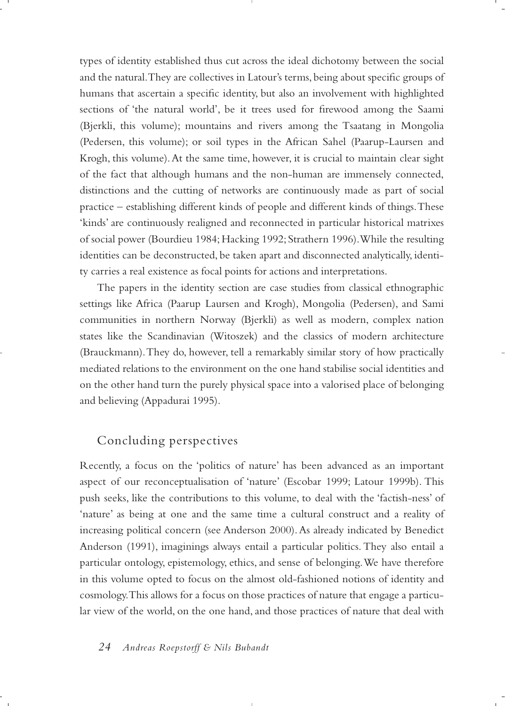types of identity established thus cut across the ideal dichotomy between the social and the natural.They are collectives in Latour's terms, being about specific groups of humans that ascertain a specific identity, but also an involvement with highlighted sections of 'the natural world', be it trees used for firewood among the Saami (Bjerkli, this volume); mountains and rivers among the Tsaatang in Mongolia (Pedersen, this volume); or soil types in the African Sahel (Paarup-Laursen and Krogh, this volume).At the same time, however, it is crucial to maintain clear sight of the fact that although humans and the non-human are immensely connected, distinctions and the cutting of networks are continuously made as part of social practice – establishing different kinds of people and different kinds of things.These 'kinds' are continuously realigned and reconnected in particular historical matrixes of social power (Bourdieu 1984; Hacking 1992; Strathern 1996).While the resulting identities can be deconstructed, be taken apart and disconnected analytically, identity carries a real existence as focal points for actions and interpretations.

The papers in the identity section are case studies from classical ethnographic settings like Africa (Paarup Laursen and Krogh), Mongolia (Pedersen), and Sami communities in northern Norway (Bjerkli) as well as modern, complex nation states like the Scandinavian (Witoszek) and the classics of modern architecture (Brauckmann).They do, however, tell a remarkably similar story of how practically mediated relations to the environment on the one hand stabilise social identities and on the other hand turn the purely physical space into a valorised place of belonging and believing (Appadurai 1995).

# Concluding perspectives

Recently, a focus on the 'politics of nature' has been advanced as an important aspect of our reconceptualisation of 'nature' (Escobar 1999; Latour 1999b). This push seeks, like the contributions to this volume, to deal with the 'factish-ness' of 'nature' as being at one and the same time a cultural construct and a reality of increasing political concern (see Anderson 2000).As already indicated by Benedict Anderson (1991), imaginings always entail a particular politics.They also entail a particular ontology, epistemology, ethics, and sense of belonging.We have therefore in this volume opted to focus on the almost old-fashioned notions of identity and cosmology.This allows for a focus on those practices of nature that engage a particular view of the world, on the one hand, and those practices of nature that deal with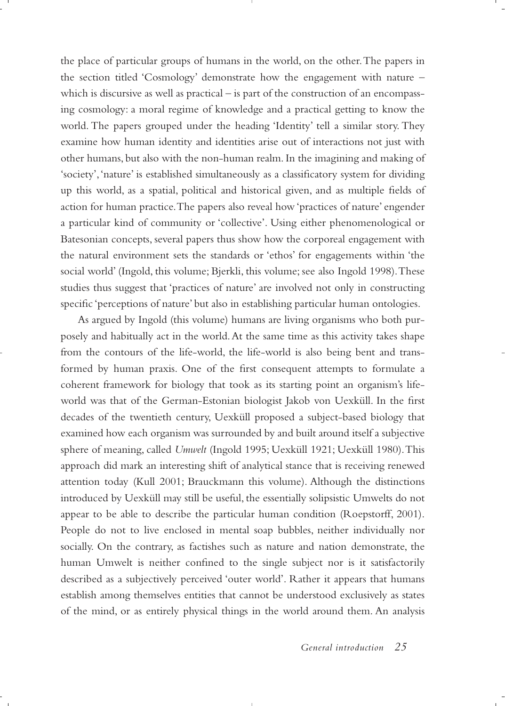the place of particular groups of humans in the world, on the other.The papers in the section titled 'Cosmology' demonstrate how the engagement with nature – which is discursive as well as practical – is part of the construction of an encompassing cosmology: a moral regime of knowledge and a practical getting to know the world. The papers grouped under the heading 'Identity' tell a similar story. They examine how human identity and identities arise out of interactions not just with other humans, but also with the non-human realm. In the imagining and making of 'society','nature' is established simultaneously as a classificatory system for dividing up this world, as a spatial, political and historical given, and as multiple fields of action for human practice.The papers also reveal how 'practices of nature' engender a particular kind of community or 'collective'. Using either phenomenological or Batesonian concepts, several papers thus show how the corporeal engagement with the natural environment sets the standards or 'ethos' for engagements within 'the social world' (Ingold, this volume; Bjerkli, this volume; see also Ingold 1998).These studies thus suggest that 'practices of nature' are involved not only in constructing specific 'perceptions of nature' but also in establishing particular human ontologies.

As argued by Ingold (this volume) humans are living organisms who both purposely and habitually act in the world.At the same time as this activity takes shape from the contours of the life-world, the life-world is also being bent and transformed by human praxis. One of the first consequent attempts to formulate a coherent framework for biology that took as its starting point an organism's lifeworld was that of the German-Estonian biologist Jakob von Uexküll. In the first decades of the twentieth century, Uexküll proposed a subject-based biology that examined how each organism was surrounded by and built around itself a subjective sphere of meaning, called *Umwelt* (Ingold 1995; Uexküll 1921; Uexküll 1980).This approach did mark an interesting shift of analytical stance that is receiving renewed attention today (Kull 2001; Brauckmann this volume). Although the distinctions introduced by Uexküll may still be useful, the essentially solipsistic Umwelts do not appear to be able to describe the particular human condition (Roepstorff, 2001). People do not to live enclosed in mental soap bubbles, neither individually nor socially. On the contrary, as factishes such as nature and nation demonstrate, the human Umwelt is neither confined to the single subject nor is it satisfactorily described as a subjectively perceived 'outer world'. Rather it appears that humans establish among themselves entities that cannot be understood exclusively as states of the mind, or as entirely physical things in the world around them. An analysis